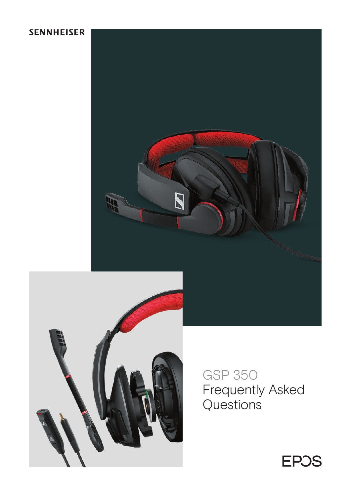# **SENNHEISER**





GSP 350 Frequently Asked Questions